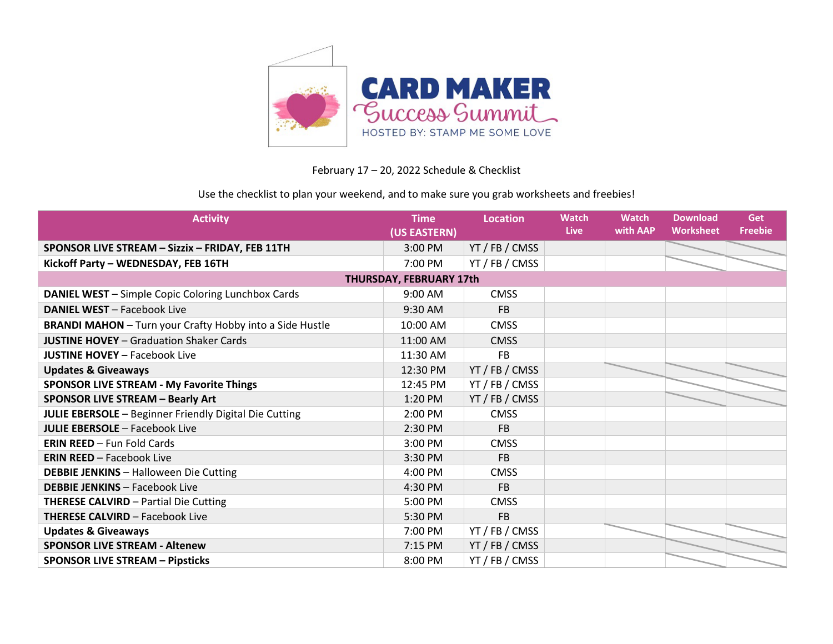

## February 17 – 20, 2022 Schedule & Checklist

## Use the checklist to plan your weekend, and to make sure you grab worksheets and freebies!

| <b>Activity</b>                                                 | <b>Time</b><br>(US EASTERN) | <b>Location</b> | <b>Watch</b><br><b>Live</b> | <b>Watch</b><br>with AAP | <b>Download</b><br><b>Worksheet</b> | Get<br><b>Freebie</b> |  |  |
|-----------------------------------------------------------------|-----------------------------|-----------------|-----------------------------|--------------------------|-------------------------------------|-----------------------|--|--|
| SPONSOR LIVE STREAM - Sizzix - FRIDAY, FEB 11TH                 | 3:00 PM                     | YT / FB / CMSS  |                             |                          |                                     |                       |  |  |
| Kickoff Party - WEDNESDAY, FEB 16TH                             | 7:00 PM                     | YT / FB / CMSS  |                             |                          |                                     |                       |  |  |
| THURSDAY, FEBRUARY 17th                                         |                             |                 |                             |                          |                                     |                       |  |  |
| <b>DANIEL WEST</b> - Simple Copic Coloring Lunchbox Cards       | 9:00 AM                     | <b>CMSS</b>     |                             |                          |                                     |                       |  |  |
| <b>DANIEL WEST - Facebook Live</b>                              | $9:30$ AM                   | <b>FB</b>       |                             |                          |                                     |                       |  |  |
| <b>BRANDI MAHON</b> - Turn your Crafty Hobby into a Side Hustle | 10:00 AM                    | <b>CMSS</b>     |                             |                          |                                     |                       |  |  |
| <b>JUSTINE HOVEY</b> - Graduation Shaker Cards                  | 11:00 AM                    | <b>CMSS</b>     |                             |                          |                                     |                       |  |  |
| <b>JUSTINE HOVEY - Facebook Live</b>                            | 11:30 AM                    | <b>FB</b>       |                             |                          |                                     |                       |  |  |
| <b>Updates &amp; Giveaways</b>                                  | 12:30 PM                    | YT / FB / CMSS  |                             |                          |                                     |                       |  |  |
| <b>SPONSOR LIVE STREAM - My Favorite Things</b>                 | 12:45 PM                    | YT / FB / CMSS  |                             |                          |                                     |                       |  |  |
| <b>SPONSOR LIVE STREAM - Bearly Art</b>                         | 1:20 PM                     | YT / FB / CMSS  |                             |                          |                                     |                       |  |  |
| <b>JULIE EBERSOLE</b> - Beginner Friendly Digital Die Cutting   | 2:00 PM                     | <b>CMSS</b>     |                             |                          |                                     |                       |  |  |
| <b>JULIE EBERSOLE - Facebook Live</b>                           | 2:30 PM                     | <b>FB</b>       |                             |                          |                                     |                       |  |  |
| <b>ERIN REED - Fun Fold Cards</b>                               | 3:00 PM                     | <b>CMSS</b>     |                             |                          |                                     |                       |  |  |
| <b>ERIN REED - Facebook Live</b>                                | 3:30 PM                     | <b>FB</b>       |                             |                          |                                     |                       |  |  |
| <b>DEBBIE JENKINS - Halloween Die Cutting</b>                   | 4:00 PM                     | <b>CMSS</b>     |                             |                          |                                     |                       |  |  |
| <b>DEBBIE JENKINS - Facebook Live</b>                           | 4:30 PM                     | <b>FB</b>       |                             |                          |                                     |                       |  |  |
| <b>THERESE CALVIRD - Partial Die Cutting</b>                    | 5:00 PM                     | <b>CMSS</b>     |                             |                          |                                     |                       |  |  |
| <b>THERESE CALVIRD - Facebook Live</b>                          | 5:30 PM                     | <b>FB</b>       |                             |                          |                                     |                       |  |  |
| <b>Updates &amp; Giveaways</b>                                  | 7:00 PM                     | YT / FB / CMSS  |                             |                          |                                     |                       |  |  |
| <b>SPONSOR LIVE STREAM - Altenew</b>                            | 7:15 PM                     | YT / FB / CMSS  |                             |                          |                                     |                       |  |  |
| <b>SPONSOR LIVE STREAM - Pipsticks</b>                          | 8:00 PM                     | YT / FB / CMSS  |                             |                          |                                     |                       |  |  |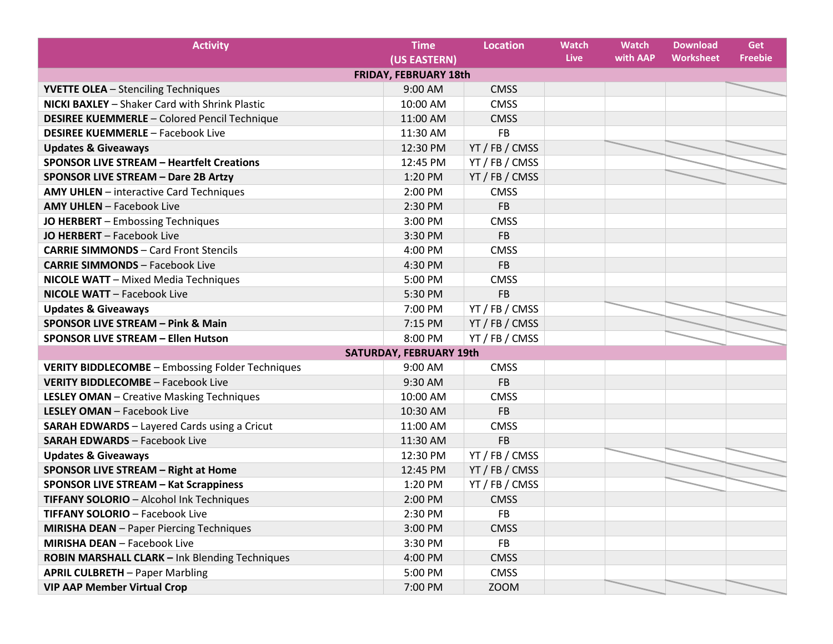| <b>Activity</b>                                         | <b>Time</b>                    | <b>Location</b> | <b>Watch</b> | <b>Watch</b> | <b>Download</b>  | Get            |  |  |
|---------------------------------------------------------|--------------------------------|-----------------|--------------|--------------|------------------|----------------|--|--|
|                                                         | (US EASTERN)                   |                 | Live         | with AAP     | <b>Worksheet</b> | <b>Freebie</b> |  |  |
| <b>FRIDAY, FEBRUARY 18th</b>                            |                                |                 |              |              |                  |                |  |  |
| <b>YVETTE OLEA</b> - Stenciling Techniques              | 9:00 AM                        | <b>CMSS</b>     |              |              |                  |                |  |  |
| <b>NICKI BAXLEY</b> - Shaker Card with Shrink Plastic   | 10:00 AM                       | <b>CMSS</b>     |              |              |                  |                |  |  |
| <b>DESIREE KUEMMERLE - Colored Pencil Technique</b>     | 11:00 AM                       | <b>CMSS</b>     |              |              |                  |                |  |  |
| <b>DESIREE KUEMMERLE - Facebook Live</b>                | 11:30 AM                       | <b>FB</b>       |              |              |                  |                |  |  |
| <b>Updates &amp; Giveaways</b>                          | 12:30 PM                       | YT / FB / CMSS  |              |              |                  |                |  |  |
| <b>SPONSOR LIVE STREAM - Heartfelt Creations</b>        | 12:45 PM                       | YT / FB / CMSS  |              |              |                  |                |  |  |
| <b>SPONSOR LIVE STREAM - Dare 2B Artzy</b>              | 1:20 PM                        | YT / FB / CMSS  |              |              |                  |                |  |  |
| <b>AMY UHLEN</b> - interactive Card Techniques          | 2:00 PM                        | <b>CMSS</b>     |              |              |                  |                |  |  |
| <b>AMY UHLEN</b> - Facebook Live                        | 2:30 PM                        | <b>FB</b>       |              |              |                  |                |  |  |
| JO HERBERT - Embossing Techniques                       | 3:00 PM                        | <b>CMSS</b>     |              |              |                  |                |  |  |
| JO HERBERT - Facebook Live                              | 3:30 PM                        | <b>FB</b>       |              |              |                  |                |  |  |
| <b>CARRIE SIMMONDS - Card Front Stencils</b>            | 4:00 PM                        | <b>CMSS</b>     |              |              |                  |                |  |  |
| <b>CARRIE SIMMONDS - Facebook Live</b>                  | 4:30 PM                        | <b>FB</b>       |              |              |                  |                |  |  |
| <b>NICOLE WATT</b> - Mixed Media Techniques             | 5:00 PM                        | <b>CMSS</b>     |              |              |                  |                |  |  |
| <b>NICOLE WATT</b> - Facebook Live                      | 5:30 PM                        | <b>FB</b>       |              |              |                  |                |  |  |
| <b>Updates &amp; Giveaways</b>                          | 7:00 PM                        | YT / FB / CMSS  |              |              |                  |                |  |  |
| <b>SPONSOR LIVE STREAM - Pink &amp; Main</b>            | 7:15 PM                        | YT / FB / CMSS  |              |              |                  |                |  |  |
| <b>SPONSOR LIVE STREAM - Ellen Hutson</b>               | 8:00 PM                        | YT / FB / CMSS  |              |              |                  |                |  |  |
|                                                         | <b>SATURDAY, FEBRUARY 19th</b> |                 |              |              |                  |                |  |  |
| <b>VERITY BIDDLECOMBE - Embossing Folder Techniques</b> | 9:00 AM                        | <b>CMSS</b>     |              |              |                  |                |  |  |
| <b>VERITY BIDDLECOMBE - Facebook Live</b>               | 9:30 AM                        | <b>FB</b>       |              |              |                  |                |  |  |
| <b>LESLEY OMAN</b> - Creative Masking Techniques        | 10:00 AM                       | <b>CMSS</b>     |              |              |                  |                |  |  |
| <b>LESLEY OMAN - Facebook Live</b>                      | 10:30 AM                       | <b>FB</b>       |              |              |                  |                |  |  |
| <b>SARAH EDWARDS</b> - Layered Cards using a Cricut     | 11:00 AM                       | <b>CMSS</b>     |              |              |                  |                |  |  |
| <b>SARAH EDWARDS - Facebook Live</b>                    | 11:30 AM                       | <b>FB</b>       |              |              |                  |                |  |  |
| <b>Updates &amp; Giveaways</b>                          | 12:30 PM                       | YT / FB / CMSS  |              |              |                  |                |  |  |
| <b>SPONSOR LIVE STREAM - Right at Home</b>              | 12:45 PM                       | YT / FB / CMSS  |              |              |                  |                |  |  |
| <b>SPONSOR LIVE STREAM - Kat Scrappiness</b>            | 1:20 PM                        | YT / FB / CMSS  |              |              |                  |                |  |  |
| TIFFANY SOLORIO - Alcohol Ink Techniques                | 2:00 PM                        | <b>CMSS</b>     |              |              |                  |                |  |  |
| <b>TIFFANY SOLORIO - Facebook Live</b>                  | 2:30 PM                        | <b>FB</b>       |              |              |                  |                |  |  |
| <b>MIRISHA DEAN</b> - Paper Piercing Techniques         | 3:00 PM                        | <b>CMSS</b>     |              |              |                  |                |  |  |
| <b>MIRISHA DEAN - Facebook Live</b>                     | 3:30 PM                        | <b>FB</b>       |              |              |                  |                |  |  |
| ROBIN MARSHALL CLARK - Ink Blending Techniques          | 4:00 PM                        | <b>CMSS</b>     |              |              |                  |                |  |  |
| <b>APRIL CULBRETH - Paper Marbling</b>                  | 5:00 PM                        | <b>CMSS</b>     |              |              |                  |                |  |  |
| <b>VIP AAP Member Virtual Crop</b>                      | 7:00 PM                        | <b>ZOOM</b>     |              |              |                  |                |  |  |